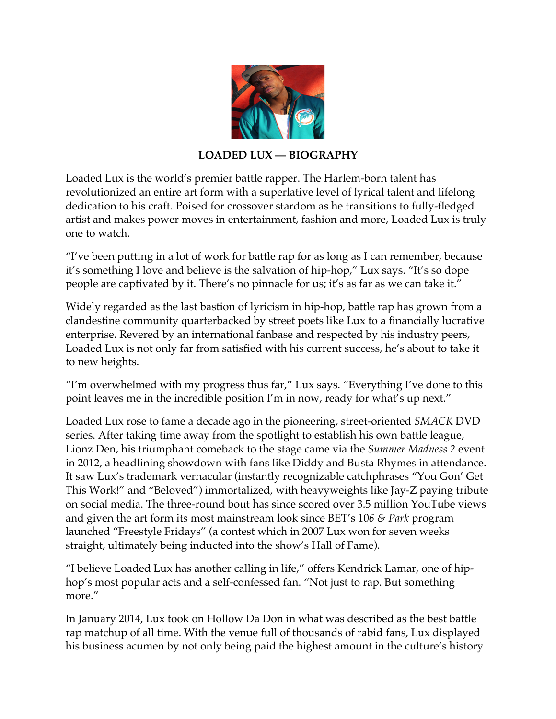

## **LOADED LUX — BIOGRAPHY**

Loaded Lux is the world's premier battle rapper. The Harlem-born talent has revolutionized an entire art form with a superlative level of lyrical talent and lifelong dedication to his craft. Poised for crossover stardom as he transitions to fully-fledged artist and makes power moves in entertainment, fashion and more, Loaded Lux is truly one to watch.

"I've been putting in a lot of work for battle rap for as long as I can remember, because it's something I love and believe is the salvation of hip-hop," Lux says. "It's so dope people are captivated by it. There's no pinnacle for us; it's as far as we can take it."

Widely regarded as the last bastion of lyricism in hip-hop, battle rap has grown from a clandestine community quarterbacked by street poets like Lux to a financially lucrative enterprise. Revered by an international fanbase and respected by his industry peers, Loaded Lux is not only far from satisfied with his current success, he's about to take it to new heights.

"I'm overwhelmed with my progress thus far," Lux says. "Everything I've done to this point leaves me in the incredible position I'm in now, ready for what's up next."

Loaded Lux rose to fame a decade ago in the pioneering, street-oriented *SMACK* DVD series. After taking time away from the spotlight to establish his own battle league, Lionz Den, his triumphant comeback to the stage came via the *Summer Madness 2* event in 2012, a headlining showdown with fans like Diddy and Busta Rhymes in attendance. It saw Lux's trademark vernacular (instantly recognizable catchphrases "You Gon' Get This Work!" and "Beloved") immortalized, with heavyweights like Jay-Z paying tribute on social media. The three-round bout has since scored over 3.5 million YouTube views and given the art form its most mainstream look since BET's 10*6 & Park* program launched "Freestyle Fridays" (a contest which in 2007 Lux won for seven weeks straight, ultimately being inducted into the show's Hall of Fame).

"I believe Loaded Lux has another calling in life," offers Kendrick Lamar, one of hiphop's most popular acts and a self-confessed fan. "Not just to rap. But something more."

In January 2014, Lux took on Hollow Da Don in what was described as the best battle rap matchup of all time. With the venue full of thousands of rabid fans, Lux displayed his business acumen by not only being paid the highest amount in the culture's history